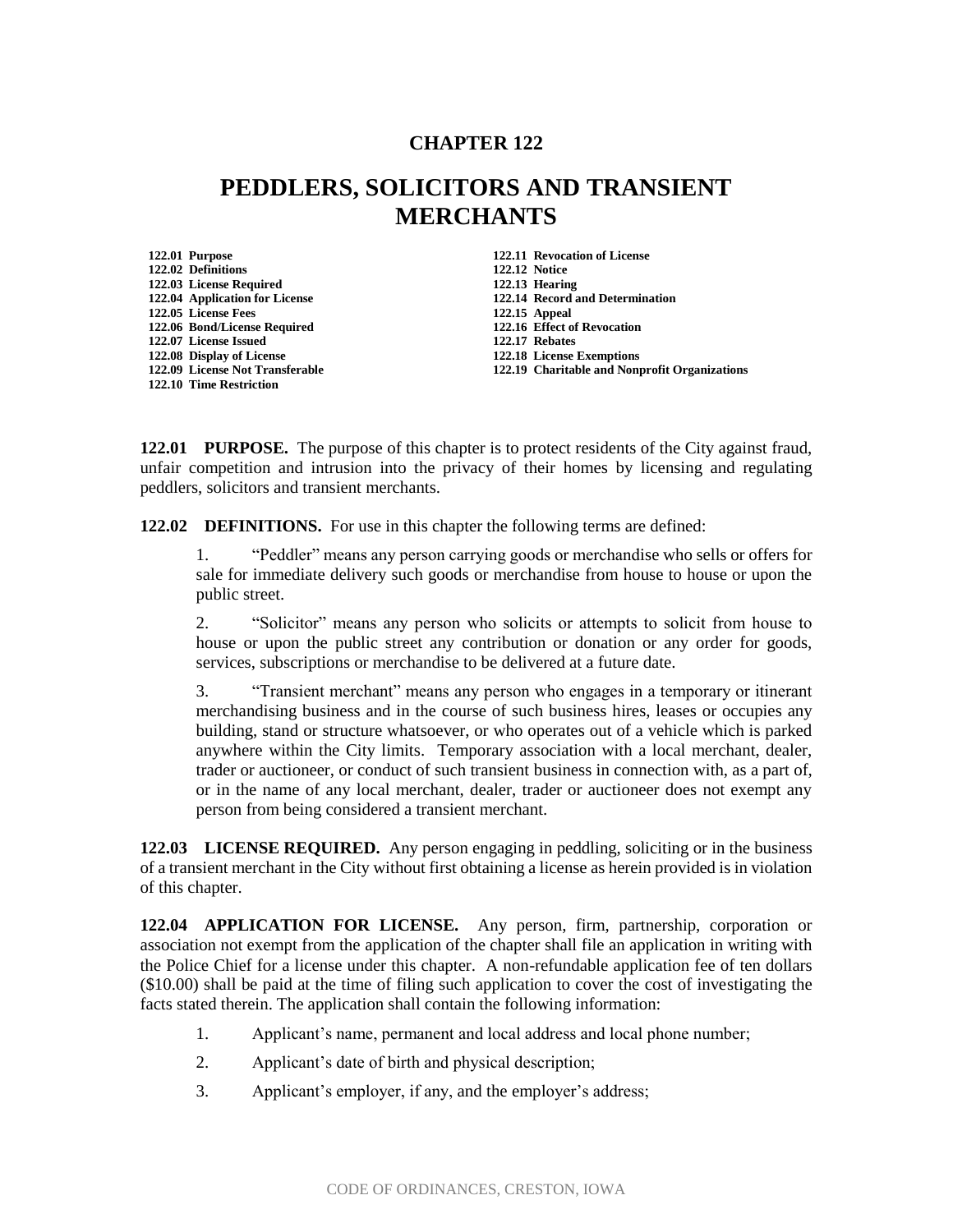## **CHAPTER 122**

## **PEDDLERS, SOLICITORS AND TRANSIENT MERCHANTS**

| 122.01 Purpose                  |
|---------------------------------|
| 122.02 Definitions              |
| 122.03 License Required         |
| 122.04 Application for License  |
| 122.05 License Fees             |
| 122.06 Bond/License Required    |
| 122.07 License Issued           |
| 122.08 Display of License       |
| 122.09 License Not Transferable |
| 122.10 Time Restriction         |

**122.01 Purpose 122.11 Revocation of License 122.02 Definitions 122.12 Notice 122.03 License Required 122.13 Hearing 122.04 Application for License 122.14 Record and Determination 122.05 License Fees 122.15 Appeal 122.16 Effect of Revocation 122.07 License Issued 122.17 Rebates 122.08 Display of License 122.18 License Exemptions 122.19 Charitable and Nonprofit Organizations** 

**122.01 PURPOSE.** The purpose of this chapter is to protect residents of the City against fraud, unfair competition and intrusion into the privacy of their homes by licensing and regulating peddlers, solicitors and transient merchants.

**122.02 DEFINITIONS.** For use in this chapter the following terms are defined:

1. "Peddler" means any person carrying goods or merchandise who sells or offers for sale for immediate delivery such goods or merchandise from house to house or upon the public street.

2. "Solicitor" means any person who solicits or attempts to solicit from house to house or upon the public street any contribution or donation or any order for goods, services, subscriptions or merchandise to be delivered at a future date.

3. "Transient merchant" means any person who engages in a temporary or itinerant merchandising business and in the course of such business hires, leases or occupies any building, stand or structure whatsoever, or who operates out of a vehicle which is parked anywhere within the City limits. Temporary association with a local merchant, dealer, trader or auctioneer, or conduct of such transient business in connection with, as a part of, or in the name of any local merchant, dealer, trader or auctioneer does not exempt any person from being considered a transient merchant.

**122.03 LICENSE REQUIRED.** Any person engaging in peddling, soliciting or in the business of a transient merchant in the City without first obtaining a license as herein provided is in violation of this chapter.

**122.04 APPLICATION FOR LICENSE.** Any person, firm, partnership, corporation or association not exempt from the application of the chapter shall file an application in writing with the Police Chief for a license under this chapter. A non-refundable application fee of ten dollars (\$10.00) shall be paid at the time of filing such application to cover the cost of investigating the facts stated therein. The application shall contain the following information:

- 1. Applicant's name, permanent and local address and local phone number;
- 2. Applicant's date of birth and physical description;
- 3. Applicant's employer, if any, and the employer's address;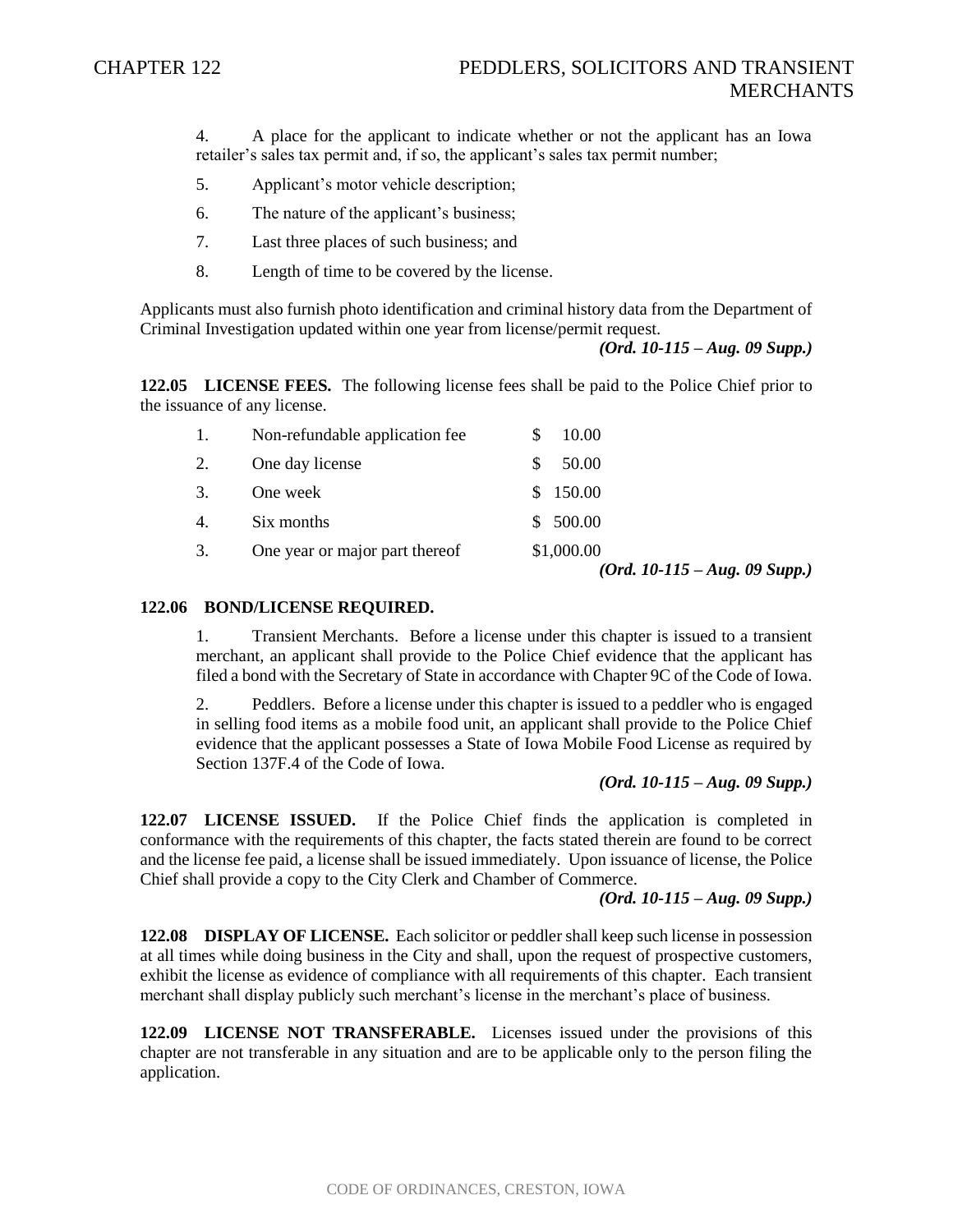4. A place for the applicant to indicate whether or not the applicant has an Iowa retailer's sales tax permit and, if so, the applicant's sales tax permit number;

- 5. Applicant's motor vehicle description;
- 6. The nature of the applicant's business;
- 7. Last three places of such business; and
- 8. Length of time to be covered by the license.

Applicants must also furnish photo identification and criminal history data from the Department of Criminal Investigation updated within one year from license/permit request.

*(Ord. 10-115 – Aug. 09 Supp.)*

**122.05 LICENSE FEES.** The following license fees shall be paid to the Police Chief prior to the issuance of any license.

|    |                                | $(Ord. 10-115 - Aug. 09 Supp.)$ |
|----|--------------------------------|---------------------------------|
| 3. | One year or major part thereof | \$1,000.00                      |
| 4. | Six months                     | \$500.00                        |
| 3. | One week                       | 150.00<br>S.                    |
| 2. | One day license                | 50.00                           |
| 1. | Non-refundable application fee | 10.00                           |

## **122.06 BOND/LICENSE REQUIRED.**

1. Transient Merchants. Before a license under this chapter is issued to a transient merchant, an applicant shall provide to the Police Chief evidence that the applicant has filed a bond with the Secretary of State in accordance with Chapter 9C of the Code of Iowa.

2. Peddlers. Before a license under this chapter is issued to a peddler who is engaged in selling food items as a mobile food unit, an applicant shall provide to the Police Chief evidence that the applicant possesses a State of Iowa Mobile Food License as required by Section 137F.4 of the Code of Iowa.

*(Ord. 10-115 – Aug. 09 Supp.)*

**122.07 LICENSE ISSUED.** If the Police Chief finds the application is completed in conformance with the requirements of this chapter, the facts stated therein are found to be correct and the license fee paid, a license shall be issued immediately. Upon issuance of license, the Police Chief shall provide a copy to the City Clerk and Chamber of Commerce.

*(Ord. 10-115 – Aug. 09 Supp.)*

**122.08 DISPLAY OF LICENSE.** Each solicitor or peddler shall keep such license in possession at all times while doing business in the City and shall, upon the request of prospective customers, exhibit the license as evidence of compliance with all requirements of this chapter. Each transient merchant shall display publicly such merchant's license in the merchant's place of business.

**122.09 LICENSE NOT TRANSFERABLE.** Licenses issued under the provisions of this chapter are not transferable in any situation and are to be applicable only to the person filing the application.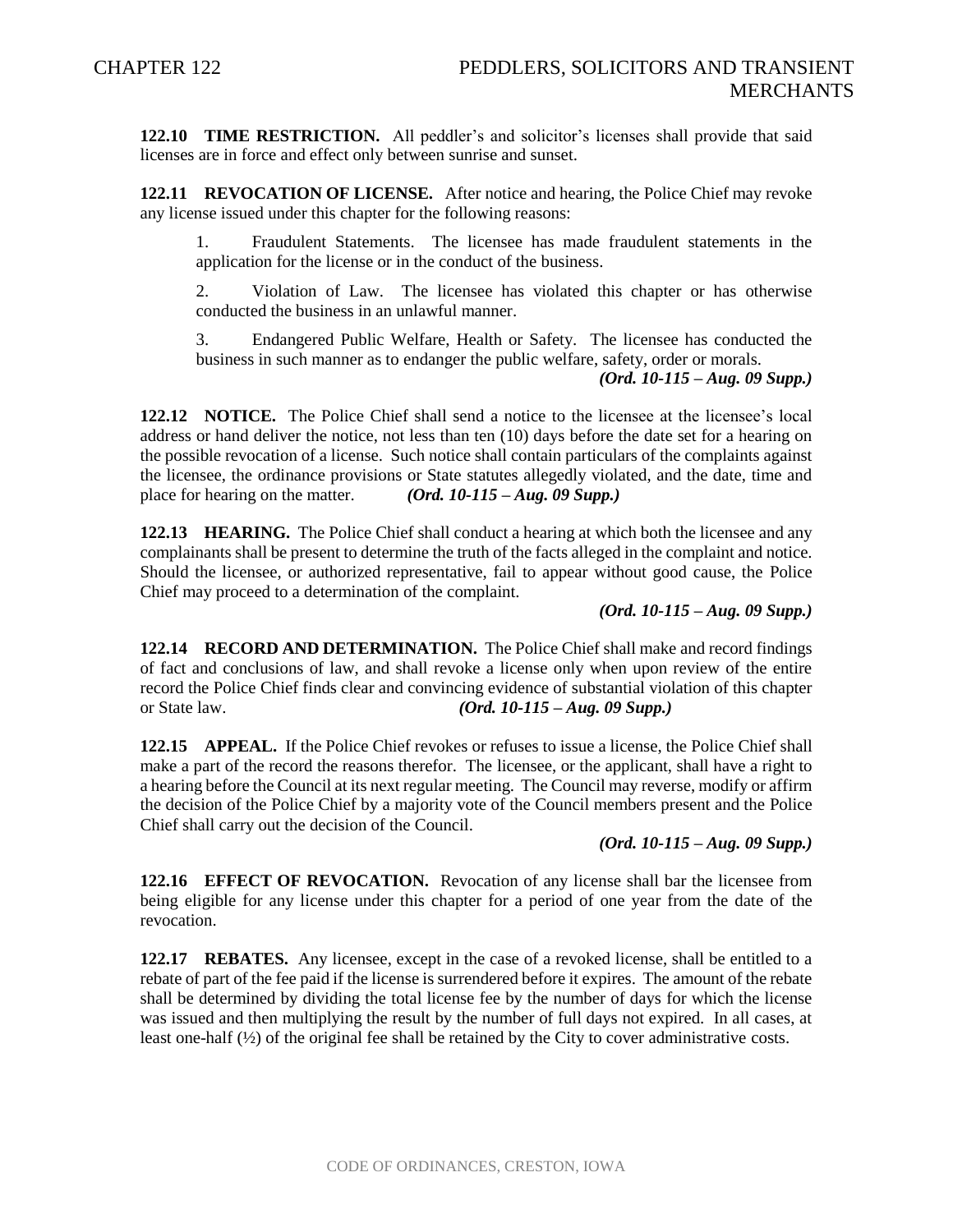**122.10 TIME RESTRICTION.** All peddler's and solicitor's licenses shall provide that said licenses are in force and effect only between sunrise and sunset.

**122.11 REVOCATION OF LICENSE.** After notice and hearing, the Police Chief may revoke any license issued under this chapter for the following reasons:

1. Fraudulent Statements. The licensee has made fraudulent statements in the application for the license or in the conduct of the business.

2. Violation of Law. The licensee has violated this chapter or has otherwise conducted the business in an unlawful manner.

3. Endangered Public Welfare, Health or Safety. The licensee has conducted the business in such manner as to endanger the public welfare, safety, order or morals.

*(Ord. 10-115 – Aug. 09 Supp.)*

**122.12 NOTICE.** The Police Chief shall send a notice to the licensee at the licensee's local address or hand deliver the notice, not less than ten (10) days before the date set for a hearing on the possible revocation of a license. Such notice shall contain particulars of the complaints against the licensee, the ordinance provisions or State statutes allegedly violated, and the date, time and place for hearing on the matter. *(Ord. 10-115 – Aug. 09 Supp.)*

**122.13 HEARING.** The Police Chief shall conduct a hearing at which both the licensee and any complainants shall be present to determine the truth of the facts alleged in the complaint and notice. Should the licensee, or authorized representative, fail to appear without good cause, the Police Chief may proceed to a determination of the complaint.

*(Ord. 10-115 – Aug. 09 Supp.)*

**122.14 RECORD AND DETERMINATION.** The Police Chief shall make and record findings of fact and conclusions of law, and shall revoke a license only when upon review of the entire record the Police Chief finds clear and convincing evidence of substantial violation of this chapter or State law. *(Ord. 10-115 – Aug. 09 Supp.)*

**122.15 APPEAL.** If the Police Chief revokes or refuses to issue a license, the Police Chief shall make a part of the record the reasons therefor. The licensee, or the applicant, shall have a right to a hearing before the Council at its next regular meeting. The Council may reverse, modify or affirm the decision of the Police Chief by a majority vote of the Council members present and the Police Chief shall carry out the decision of the Council.

*(Ord. 10-115 – Aug. 09 Supp.)*

**122.16 EFFECT OF REVOCATION.** Revocation of any license shall bar the licensee from being eligible for any license under this chapter for a period of one year from the date of the revocation.

**122.17 REBATES.** Any licensee, except in the case of a revoked license, shall be entitled to a rebate of part of the fee paid if the license is surrendered before it expires. The amount of the rebate shall be determined by dividing the total license fee by the number of days for which the license was issued and then multiplying the result by the number of full days not expired. In all cases, at least one-half (½) of the original fee shall be retained by the City to cover administrative costs.